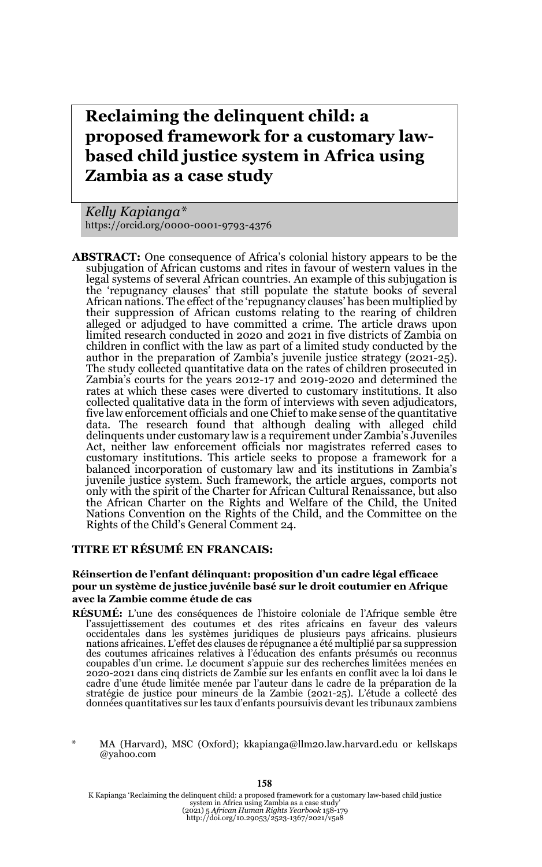# **Reclaiming the delinquent child: a proposed framework for a customary lawbased child justice system in Africa using Zambia as a case study**

*Kelly Kapianga\** https://orcid.org/0000-0001-9793-4376

**ABSTRACT:** One consequence of Africa's colonial history appears to be the subjugation of African customs and rites in favour of western values in the legal systems of several African countries. An example of this subjugation is the 'repugnancy clauses' that still populate the statute books of several African nations. The effect of the 'repugnancy clauses' has been multiplied by their suppression of African customs relating to the rearing of children alleged or adjudged to have committed a crime. The article draws upon limited research conducted in 2020 and 2021 in five districts of Zambia on children in conflict with the law as part of a limited study conducted by the author in the preparation of Zambia's juvenile justice strategy (2021-25). The study collected quantitative data on the rates of children prosecuted in Zambia's courts for the years 2012-17 and 2019-2020 and determined the rates at which these cases were diverted to customary institutions. It also collected qualitative data in the form of interviews with seven adjudicators, five law enforcement officials and one Chief to make sense of the quantitative data. The research found that although dealing with alleged child delinquents under customary law is a requirement under Zambia's Juveniles Act, neither law enforcement officials nor magistrates referred cases to customary institutions. This article seeks to propose a framework for a balanced incorporation of customary law and its institutions in Zambia's juvenile justice system. Such framework, the article argues, comports not only with the spirit of the Charter for African Cultural Renaissance, but also the African Charter on the Rights and Welfare of the Child, the United Nations Convention on the Rights of the Child, and the Committee on the Rights of the Child's General Comment 24.

#### **TITRE ET RÉSUMÉ EN FRANCAIS:**

#### **Réinsertion de l'enfant délinquant: proposition d'un cadre légal efficace pour un système de justice juvénile basé sur le droit coutumier en Afrique avec la Zambie comme étude de cas**

- **RÉSUMÉ:** L'une des conséquences de l'histoire coloniale de l'Afrique semble être<br>l'assujettissement des coutumes et des rites africains en faveur des valeurs<br>occidentales dans les systèmes juridiques de plusieurs pays afr nations africaines. L'effet des clauses de répugnance a été multiplié par sa suppression des coutumes africaines relatives à l'éducation des enfants présumés ou reconnus coupables d'un crime. Le document s'appuie sur des recherches limitées menées en 2020-2021 dans cinq districts de Zambie sur les enfants en conflit avec la loi dans le cadre d'une étude limitée menée par l'auteur dans le cadre de la préparation de la stratégie de justice pour mineurs de la Zambie (2021-25). L'étude a collecté des données quantitatives sur les taux d'enfants poursuivis devant les tribunaux zambiens
- MA (Harvard), MSC (Oxford); kkapianga@llm20.law.harvard.edu or kellskaps @yahoo.com

K Kapianga 'Reclaiming the delinquent child: a proposed framework for a customary law-based child justice<br>system in Africa using Zambia as a case study'<br>(2021) 5 African Human Rights Yeartbook 158-179<br>http://doi.org/10.209

#### **158**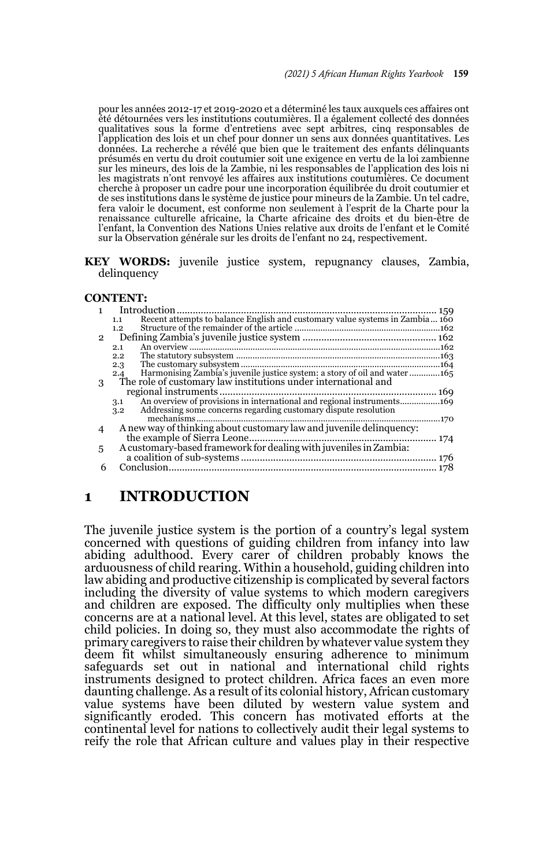pour les années 2012-17 et 2019-2020 et a déterminé les taux auxquels ces affaires ont été détournées vers les institutions coutumières. Il a également collecté des données qualitatives sous la forme d'entretiens avec sept arbitres, cinq responsables de l'application des lois et un chef pour donner un sens aux données quantitatives. Les données. La recherche a révélé que bien que le traitement des enfants délinquants présumés en vertu du droit coutumier soit une exigence en vertu de la loi zambienne sur les mineurs, des lois de la Zambie, ni les responsables de l'application des lois ni les magistrats n'ont renvoyé les affaires aux institutions coutumières. Ce document cherche à proposer un cadre pour une incorporation équilibrée du droit coutumier et de ses institutions dans le système de justice pour mineurs de la Zambie. Un tel cadre, fera valoir le document, est conforme non seulement à l'esprit de la Charte pour la renaissance culturelle africaine, la Charte africaine des droits et du bien-être de l'enfant, la Convention des Nations Unies relative aux droits de l'enfant et le Comité sur la Observation générale sur les droits de l'enfant no 24, respectivement.

**KEY WORDS:** juvenile justice system, repugnancy clauses, Zambia, delinquency

#### **CONTENT:**

|                   | Introduction                                                                        |  |
|-------------------|-------------------------------------------------------------------------------------|--|
|                   | Recent attempts to balance English and customary value systems in Zambia 160<br>1.1 |  |
|                   | 1.2                                                                                 |  |
| $\mathbf{\Omega}$ |                                                                                     |  |
|                   | 2.1                                                                                 |  |
|                   | 2.2                                                                                 |  |
|                   | 2.3                                                                                 |  |
|                   | Harmonising Zambia's juvenile justice system: a story of oil and water165<br>2.4    |  |
| 3                 | The role of customary law institutions under international and                      |  |
|                   |                                                                                     |  |
|                   | 3.1                                                                                 |  |
|                   | Addressing some concerns regarding customary dispute resolution<br>3.2              |  |
|                   | mechanisms<br>170                                                                   |  |
|                   | A new way of thinking about customary law and juvenile delinquency:                 |  |
|                   |                                                                                     |  |
| 5                 | A customary-based framework for dealing with juveniles in Zambia:                   |  |
|                   |                                                                                     |  |
| 6                 | Conclusion                                                                          |  |
|                   |                                                                                     |  |

### **1 INTRODUCTION**

The juvenile justice system is the portion of a country's legal system concerned with questions of guiding children from infancy into law abiding adulthood. Every carer of children probably knows the arduousness of child rearing. Within a household, guiding children into law abiding and productive citizenship is complicated by several factors including the diversity of value systems to which modern caregivers and children are exposed. The difficulty only multiplies when these concerns are at a national level. At this level, states are obligated to set child policies. In doing so, they must also accommodate the rights of primary caregivers to raise their children by whatever value system they deem fit whilst simultaneously ensuring adherence to minimum safeguards set out in national and international child rights instruments designed to protect children. Africa faces an even more daunting challenge. As a result of its colonial history, African customary value systems have been diluted by western value system and significantly eroded. This concern has motivated efforts at the continental level for nations to collectively audit their legal systems to reify the role that African culture and values play in their respective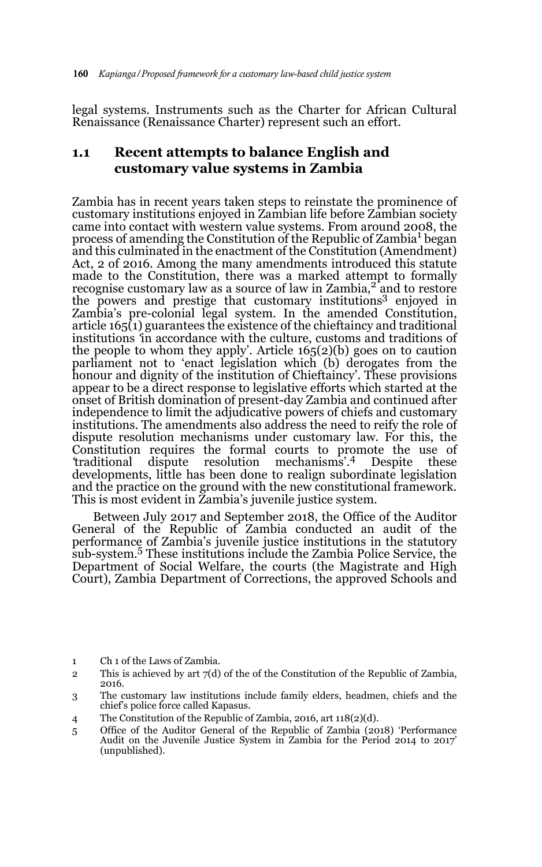legal systems. Instruments such as the Charter for African Cultural Renaissance (Renaissance Charter) represent such an effort.

### **1.1 Recent attempts to balance English and customary value systems in Zambia**

Zambia has in recent years taken steps to reinstate the prominence of customary institutions enjoyed in Zambian life before Zambian society came into contact with western value systems. From around 2008, the process of amending the Constitution of the Republic of Zambia<sup>1</sup> began and this culminated in the enactment of the Constitution (Amendment) Act, 2 of 2016. Among the many amendments introduced this statute made to the Constitution, there was a marked attempt to formally recognise customary law as a source of law in Zambia,<sup>2</sup> and to restore the powers and prestige that customary institutions<sup>3</sup> enjoyed in Zambia's pre-colonial legal system. In the amended Constitution, article 165(1) guarantees the existence of the chieftaincy and traditional institutions *'*in accordance with the culture, customs and traditions of the people to whom they apply'. Article  $165(2)(b)$  goes on to caution parliament not to 'enact legislation which (b) derogates from the honour and dignity of the institution of Chieftaincy'. These provisions appear to be a direct response to legislative efforts which started at the onset of British domination of present-day Zambia and continued after independence to limit the adjudicative powers of chiefs and customary institutions. The amendments also address the need to reify the role of dispute resolution mechanisms under customary law. For this, the Constitution requires the formal courts to promote the use of *'*traditional dispute resolution mechanisms'*.* <sup>4</sup> Despite these developments, little has been done to realign subordinate legislation and the practice on the ground with the new constitutional framework. This is most evident in Zambia's juvenile justice system.

Between July 2017 and September 2018, the Office of the Auditor General of the Republic of Zambia conducted an audit of the performance of Zambia's juvenile justice institutions in the statutory sub-system.5 These institutions include the Zambia Police Service, the Department of Social Welfare, the courts (the Magistrate and High Court), Zambia Department of Corrections, the approved Schools and

- 1 Ch 1 of the Laws of Zambia.
- 2 This is achieved by art  $7(d)$  of the of the Constitution of the Republic of Zambia, 2016.
- 3 The customary law institutions include family elders, headmen, chiefs and the chief's police force called Kapasus.
- 4 The Constitution of the Republic of Zambia, 2016, art 118(2)(d).
- 5 Office of the Auditor General of the Republic of Zambia (2018) 'Performance Audit on the Juvenile Justice System in Zambia for the Period 2014 to 2017' (unpublished).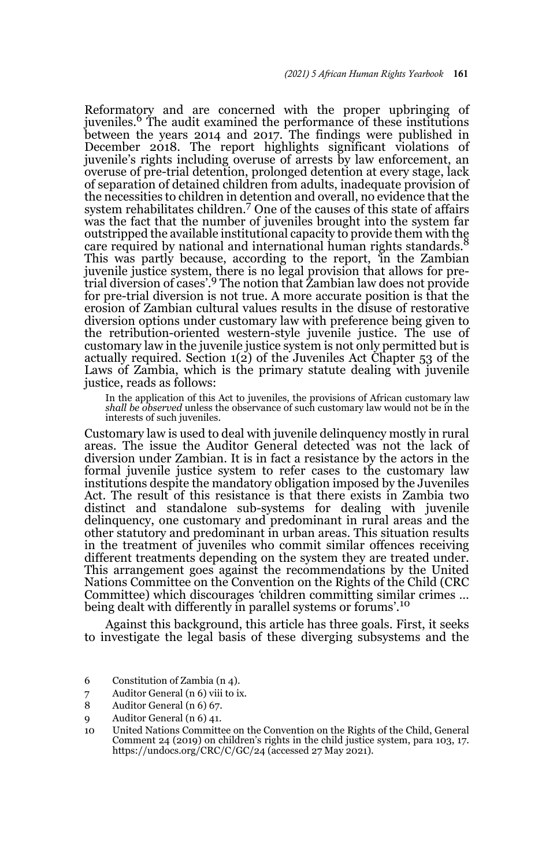Reformatory and are concerned with the proper upbringing of juveniles.<sup>6</sup> The audit examined the performance of these institutions between the years 2014 and 2017. The findings were published in December 2018. The report highlights significant violations of juvenile's rights including overuse of arrests by law enforcement, an overuse of pre-trial detention, prolonged detention at every stage, lack of separation of detained children from adults, inadequate provision of the necessities to children in detention and overall, no evidence that the system rehabilitates children.7 One of the causes of this state of affairs was the fact that the number of juveniles brought into the system far outstripped the available institutional capacity to provide them with the care required by national and international human rights standards.<sup>8</sup> This was partly because, according to the report, *'*in the Zambian juvenile justice system, there is no legal provision that allows for pre-trial diversion of cases'.9 The notion that Zambian law does not provide for pre-trial diversion is not true. A more accurate position is that the erosion of Zambian cultural values results in the disuse of restorative diversion options under customary law with preference being given to the retribution-oriented western-style juvenile justice. The use of customary law in the juvenile justice system is not only permitted but is actually required. Section  $1(2)$  of the Juveniles Act Chapter 53 of the Laws of Zambia, which is the primary statute dealing with juvenile justice, reads as follows:

In the application of this Act to juveniles, the provisions of African customary law *shall be observed* unless the observance of such customary law would not be in the interests of such juveniles.

Customary law is used to deal with juvenile delinquency mostly in rural areas. The issue the Auditor General detected was not the lack of diversion under Zambian. It is in fact a resistance by the actors in the formal juvenile justice system to refer cases to the customary law institutions despite the mandatory obligation imposed by the Juveniles Act. The result of this resistance is that there exists in Zambia two distinct and standalone sub-systems for dealing with juvenile delinquency, one customary and predominant in rural areas and the other statutory and predominant in urban areas. This situation results in the treatment of juveniles who commit similar offences receiving different treatments depending on the system they are treated under. This arrangement goes against the recommendations by the United Nations Committee on the Convention on the Rights of the Child (CRC Committee) which discourages *'*children committing similar crimes … being dealt with differently in parallel systems or forums'.<sup>10</sup>

Against this background, this article has three goals. First, it seeks to investigate the legal basis of these diverging subsystems and the

- 6 Constitution of Zambia (n 4).
- 7 Auditor General (n 6) viii to ix.
- 8 Auditor General (n 6) 67.
- 9 Auditor General (n 6) 41.

<sup>10</sup> United Nations Committee on the Convention on the Rights of the Child, General Comment 24 (2019) on children's rights in the child justice system, para 103, 17. https://undocs.org/CRC/C/GC/24 (accessed 27 May 2021).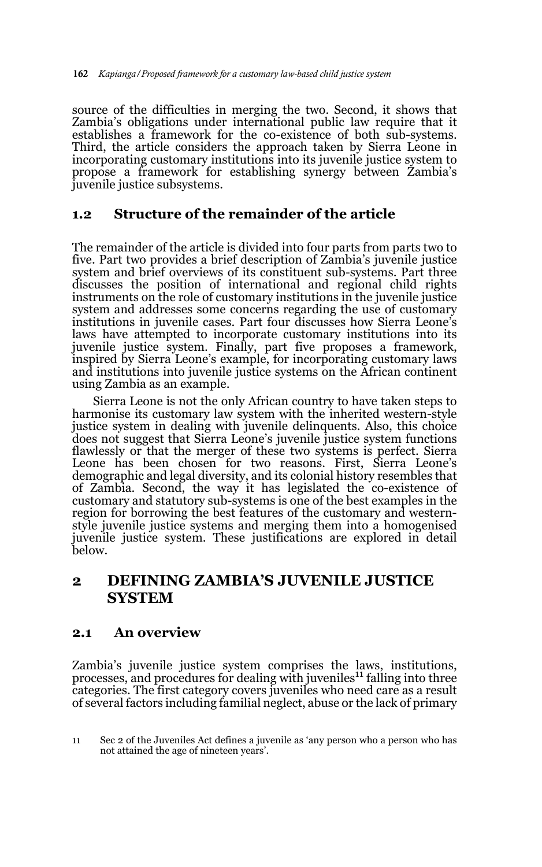source of the difficulties in merging the two. Second, it shows that Zambia's obligations under international public law require that it establishes a framework for the co-existence of both sub-systems. Third, the article considers the approach taken by Sierra Leone in incorporating customary institutions into its juvenile justice system to propose a framework for establishing synergy between Zambia's juvenile justice subsystems.

### **1.2 Structure of the remainder of the article**

The remainder of the article is divided into four parts from parts two to five. Part two provides a brief description of Zambia's juvenile justice system and brief overviews of its constituent sub-systems. Part three discusses the position of international and regional child rights instruments on the role of customary institutions in the juvenile justice system and addresses some concerns regarding the use of customary institutions in juvenile cases. Part four discusses how Sierra Leone's laws have attempted to incorporate customary institutions into its juvenile justice system. Finally, part five proposes a framework, inspired by Sierra Leone's example, for incorporating customary laws and institutions into juvenile justice systems on the African continent using Zambia as an example.

Sierra Leone is not the only African country to have taken steps to harmonise its customary law system with the inherited western-style justice system in dealing with juvenile delinquents. Also, this choice does not suggest that Sierra Leone's juvenile justice system functions flawlessly or that the merger of these two systems is perfect. Sierra Leone has been chosen for two reasons. First, Sierra Leone's demographic and legal diversity, and its colonial history resembles that of Zambia. Second, the way it has legislated the co-existence of customary and statutory sub-systems is one of the best examples in the region for borrowing the best features of the customary and westernstyle juvenile justice systems and merging them into a homogenised juvenile justice system. These justifications are explored in detail below.

### **2 DEFINING ZAMBIA'S JUVENILE JUSTICE SYSTEM**

### **2.1 An overview**

Zambia's juvenile justice system comprises the laws, institutions, processes, and procedures for dealing with juveniles<sup>11</sup> falling into three categories. The first category covers juveniles who need care as a result of several factors including familial neglect, abuse or the lack of primary

<sup>11</sup> Sec 2 of the Juveniles Act defines a juvenile as 'any person who a person who has not attained the age of nineteen years'.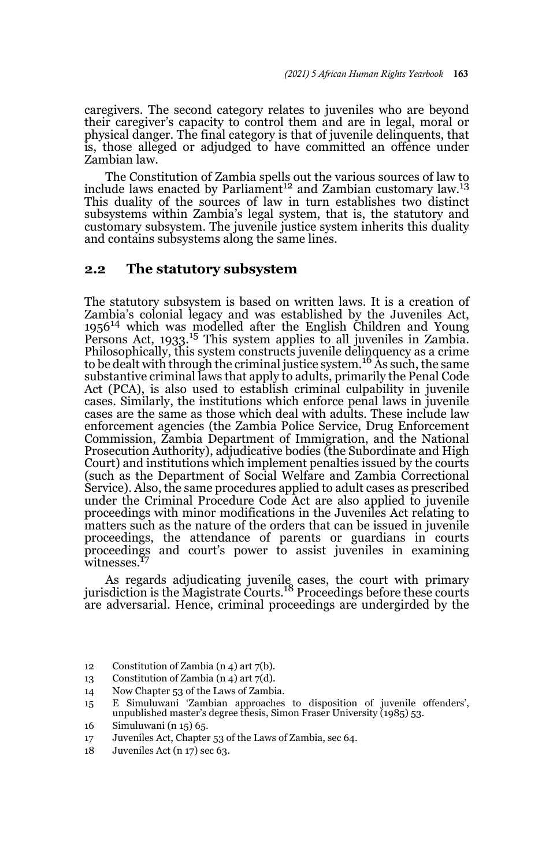caregivers. The second category relates to juveniles who are beyond their caregiver's capacity to control them and are in legal, moral or physical danger. The final category is that of juvenile delinquents, that is, those alleged or adjudged to have committed an offence under Zambian law.

The Constitution of Zambia spells out the various sources of law to include laws enacted by Parliament<sup>12</sup> and Zambian customary law.<sup>13</sup> This duality of the sources of law in turn establishes two distinct subsystems within Zambia's legal system, that is, the statutory and customary subsystem. The juvenile justice system inherits this duality and contains subsystems along the same lines.

#### **2.2 The statutory subsystem**

The statutory subsystem is based on written laws. It is a creation of Zambia's colonial legacy and was established by the Juveniles Act, 1956<sup>14</sup> which was modelled after the English Children and Young Persons Act, 1933.15 This system applies to all juveniles in Zambia. Philosophically, this system constructs juvenile delinquency as a crime<br>to be dealt with through the criminal justice system.<sup>16</sup> As such, the same substantive criminal laws that apply to adults, primarily the Penal Code Act (PCA), is also used to establish criminal culpability in juvenile cases. Similarly, the institutions which enforce penal laws in juvenile cases are the same as those which deal with adults. These include law enforcement agencies (the Zambia Police Service, Drug Enforcement Commission, Zambia Department of Immigration, and the National Prosecution Authority), adjudicative bodies (the Subordinate and High Court) and institutions which implement penalties issued by the courts (such as the Department of Social Welfare and Zambia Correctional Service). Also, the same procedures applied to adult cases as prescribed under the Criminal Procedure Code Act are also applied to juvenile proceedings with minor modifications in the Juveniles Act relating to matters such as the nature of the orders that can be issued in juvenile proceedings, the attendance of parents or guardians in courts proceedings and court's power to assist juveniles in examining witnesses.<sup>17</sup>

As regards adjudicating juvenile cases, the court with primary jurisdiction is the Magistrate Courts.18 Proceedings before these courts are adversarial. Hence, criminal proceedings are undergirded by the

- 12 Constitution of Zambia (n 4) art 7(b).
- 13 Constitution of Zambia  $(n 4)$  art  $7(d)$ .
- 14 Now Chapter 53 of the Laws of Zambia.

- 17 Juveniles Act, Chapter 53 of the Laws of Zambia, sec 64.<br>18 Juveniles Act (n 17) sec 63.
- Juveniles Act (n 17) sec 63.

<sup>15</sup> E Simuluwani 'Zambian approaches to disposition of juvenile offenders', unpublished master's degree thesis, Simon Fraser University (1985) 53.

<sup>16</sup> Simuluwani (n 15) 65.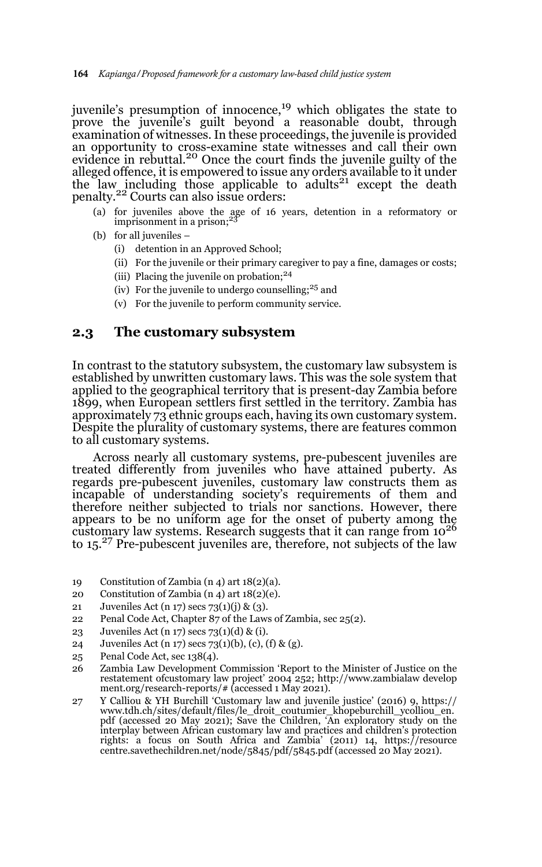juvenile's presumption of innocence,<sup>19</sup> which obligates the state to prove the juvenile's guilt beyond a reasonable doubt, through examination of witnesses. In these proceedings, the juvenile is provided an opportunity to cross-examine state witnesses and call their own evidence in rebuttal.<sup>20</sup> Once the court finds the juvenile guilty of the alleged offence, it is empowered to issue any orders available to it under the law including those applicable to adults<sup>21</sup> except the death penalty.22 Courts can also issue orders:

- (a) for juveniles above the age of 16 years, detention in a reformatory or imprisonment in a prison;<sup>23</sup>
- (b) for all juveniles
	- (i) detention in an Approved School;
	- (ii) For the juvenile or their primary caregiver to pay a fine, damages or costs;
	- (iii) Placing the juvenile on probation; $24$
	- (iv) For the juvenile to undergo counselling;  $25$  and
	- (v) For the juvenile to perform community service.

#### **2.3 The customary subsystem**

In contrast to the statutory subsystem, the customary law subsystem is established by unwritten customary laws. This was the sole system that applied to the geographical territory that is present-day Zambia before 1899, when European settlers first settled in the territory. Zambia has approximately 73 ethnic groups each, having its own customary system. Despite the plurality of customary systems, there are features common to all customary systems.

Across nearly all customary systems, pre-pubescent juveniles are treated differently from juveniles who have attained puberty. As regards pre-pubescent juveniles, customary law constructs them as incapable of understanding society's requirements of them and therefore neither subjected to trials nor sanctions. However, there appears to be no uniform age for the onset of puberty among the customary law systems. Research suggests that it can range from 10<sup>26</sup> to 15.27 Pre-pubescent juveniles are, therefore, not subjects of the law

- 19 Constitution of Zambia (n 4) art 18(2)(a).
- 20 Constitution of Zambia (n 4) art 18(2)(e).
- 21 Juveniles Act (n 17) secs 73(1)(j) & (3).
- 22 Penal Code Act, Chapter 87 of the Laws of Zambia, sec 25(2).
- 23 Juveniles Act (n 17) secs 73(1)(d) & (i).
- 24 Juveniles Act (n 17) secs 73(1)(b), (c), (f) & (g).
- 25 Penal Code Act, sec 138(4).
- 26 Zambia Law Development Commission 'Report to the Minister of Justice on the restatement ofcustomary law project' 2004 252; http://www.zambialaw develop ment.org/research-reports/# (accessed 1 May 2021).
- 27 Y Calliou & YH Burchill 'Customary law and juvenile justice' (2016) 9, https:// www.tdh.ch/sites/default/files/le\_droit\_coutumier\_khopeburchill\_ycolliou\_en. pdf (accessed 20 May 2021); Save the Children, 'An exploratory study on the interplay between African customary law and practices and children's protection rights: a focus on South Africa and Zambia' (2011) 14, https://resource centre.savethechildren.net/node/5845/pdf/5845.pdf (accessed 20 May 2021).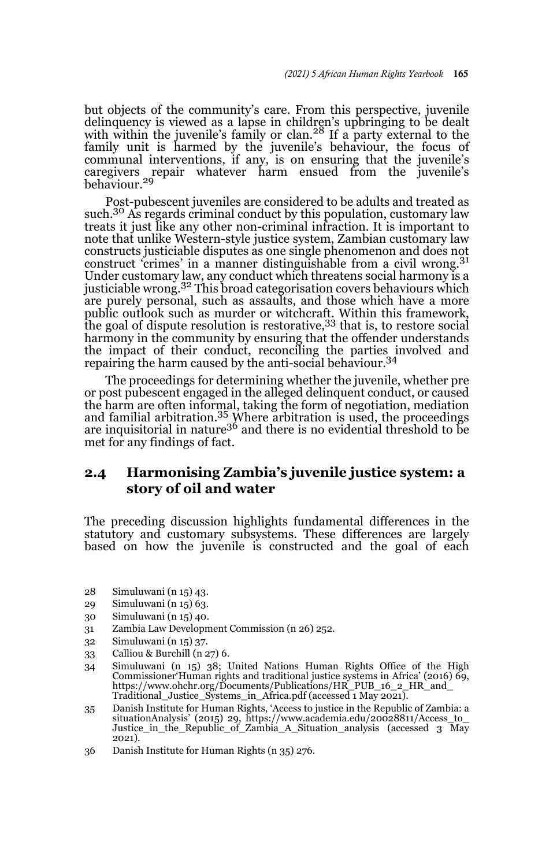but objects of the community's care. From this perspective, juvenile delinquency is viewed as a lapse in children's upbringing to be dealt with within the juvenile's family or clan.<sup>28</sup> If a party external to the family unit is harmed by the juvenile's behaviour, the focus of communal interventions, if any, is on ensuring that the juvenile's caregivers repair whatever harm ensued from the juvenile's behaviour.<sup>29</sup>

Post-pubescent juveniles are considered to be adults and treated as such.<sup>30</sup> As regards criminal conduct by this population, customary law treats it just like any other non-criminal infraction. It is important to note that unlike Western-style justice system, Zambian customary law constructs justiciable disputes as one single phenomenon and does not construct 'crimes' in a manner distinguishable from a civil wrong.<sup>31</sup> Under customary law, any conduct which threatens social harmony is a<br>justiciable wrong.<sup>32</sup> This broad categorisation covers behaviours which are purely personal, such as assaults, and those which have a more public outlook such as murder or witchcraft. Within this framework, the goal of dispute resolution is restorative, <sup>33</sup> that is, to restore social harmony in the community by ensuring that the offender understands the impact of their conduct, reconciling the parties involved and repairing the harm caused by the anti-social behaviour.<sup>34</sup>

The proceedings for determining whether the juvenile, whether pre or post pubescent engaged in the alleged delinquent conduct, or caused the harm are often informal, taking the form of negotiation, mediation and familial arbitration.35 Where arbitration is used, the proceedings are inquisitorial in nature<sup>36</sup> and there is no evidential threshold to be met for any findings of fact.

### **2.4 Harmonising Zambia's juvenile justice system: a story of oil and water**

The preceding discussion highlights fundamental differences in the statutory and customary subsystems. These differences are largely based on how the juvenile is constructed and the goal of each

- 28 Simuluwani (n 15) 43.
- 29 Simuluwani (n 15) 63.
- 30 Simuluwani (n 15) 40.
- 31 Zambia Law Development Commission (n 26) 252.
- 32 Simuluwani (n 15) 37.
- 33 Calliou & Burchill (n 27) 6.
- 34 Simuluwani (n 15) 38; United Nations Human Rights Office of the High Commissioner'Human rights and traditional justice systems in Africa' (2016) 69, https://www.ohchr.org/Documents/Publications/HR\_PUB\_16\_2\_HR\_and\_ Traditional\_Justice\_Systems\_in\_Africa.pdf (accessed 1 May 2021).
- 35 Danish Institute for Human Rights, 'Access to justice in the Republic of Zambia: a situationAnalysis' (2015) 29, https://www.academia.edu/20028811/Access\_to\_ Justice\_in\_the\_Republic\_of\_Zambia\_A\_Situation\_analysis (accessed 3 May 2021).
- 36 Danish Institute for Human Rights (n 35) 276.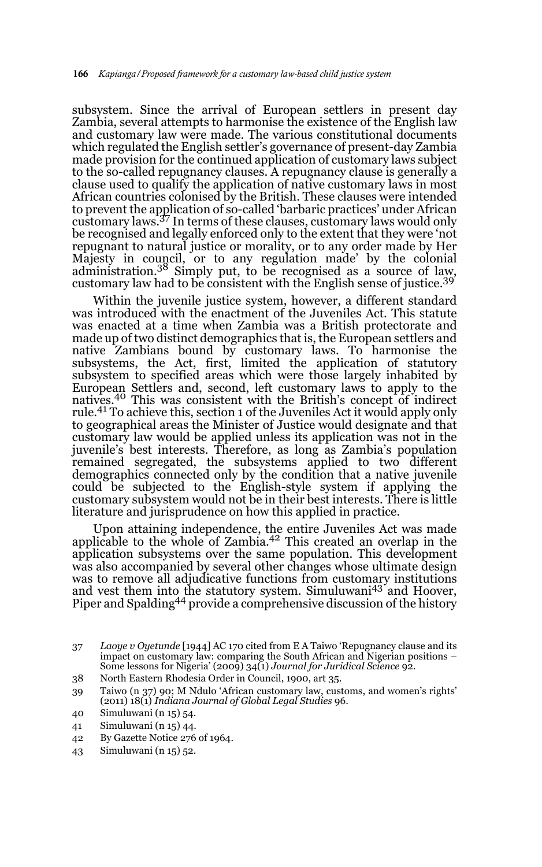subsystem. Since the arrival of European settlers in present day Zambia, several attempts to harmonise the existence of the English law and customary law were made. The various constitutional documents which regulated the English settler's governance of present-day Zambia made provision for the continued application of customary laws subject to the so-called repugnancy clauses. A repugnancy clause is generally a clause used to qualify the application of native customary laws in most African countries colonised by the British. These clauses were intended to prevent the application of so-called 'barbaric practices' under African customary laws.37 In terms of these clauses, customary laws would only be recognised and legally enforced only to the extent that they were 'not repugnant to natural justice or morality, or to any order made by Her Majesty in council, or to any regulation made' by the colonial administration.38 Simply put, to be recognised as a source of law, customary law had to be consistent with the English sense of justice.<sup>39</sup>

Within the juvenile justice system, however, a different standard was introduced with the enactment of the Juveniles Act. This statute was enacted at a time when Zambia was a British protectorate and made up of two distinct demographics that is, the European settlers and native Zambians bound by customary laws. To harmonise the subsystems, the Act, first, limited the application of statutory subsystem to specified areas which were those largely inhabited by European Settlers and, second, left customary laws to apply to the natives.40 This was consistent with the British's concept of indirect rule.<sup>41</sup> To achieve this, section 1 of the Juveniles Act it would apply only to geographical areas the Minister of Justice would designate and that customary law would be applied unless its application was not in the juvenile's best interests. Therefore, as long as Zambia's population remained segregated, the subsystems applied to two different demographics connected only by the condition that a native juvenile could be subjected to the English-style system if applying the customary subsystem would not be in their best interests. There is little literature and jurisprudence on how this applied in practice.

Upon attaining independence, the entire Juveniles Act was made applicable to the whole of Zambia.42 This created an overlap in the application subsystems over the same population. This development was also accompanied by several other changes whose ultimate design was to remove all adjudicative functions from customary institutions and vest them into the statutory system. Simuluwani<sup>43</sup> and Hoover, Piper and Spalding<sup>44</sup> provide a comprehensive discussion of the history

38 North Eastern Rhodesia Order in Council, 1900, art 35.

- 42 By Gazette Notice 276 of 1964.
- 43 Simuluwani (n 15) 52.

<sup>37</sup> *Laoye v Oyetunde* [1944] AC 170 cited from E A Taiwo 'Repugnancy clause and its impact on customary law: comparing the South African and Nigerian positions – Some lessons for Nigeria' (2009) 34(1) *Journal for Juridical Science* 92.

<sup>39</sup> Taiwo (n 37) 90; M Ndulo 'African customary law, customs, and women's rights' (2011) 18(1) *Indiana Journal of Global Legal Studies* 96.

<sup>40</sup> Simuluwani (n 15) 54.

<sup>41</sup> Simuluwani (n 15) 44.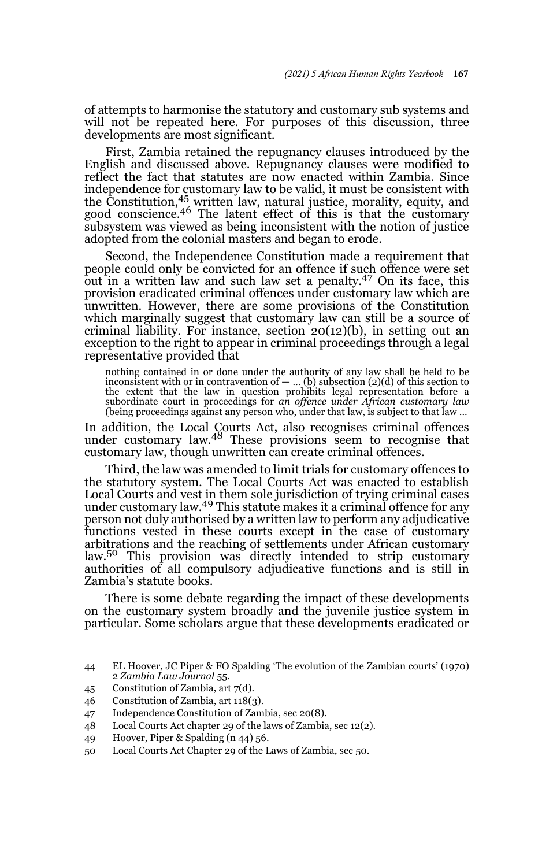of attempts to harmonise the statutory and customary sub systems and will not be repeated here. For purposes of this discussion, three developments are most significant.

First, Zambia retained the repugnancy clauses introduced by the English and discussed above. Repugnancy clauses were modified to reflect the fact that statutes are now enacted within Zambia. Since independence for customary law to be valid, it must be consistent with the Constitution,<sup>45</sup> written law, natural justice, morality, equity, and good conscience.<sup>46</sup> The latent effect of this is that the customary subsystem was viewed as being inconsistent with the notion of justice adopted from the colonial masters and began to erode.

Second, the Independence Constitution made a requirement that people could only be convicted for an offence if such offence were set out in a written law and such law set a penalty.47 On its face, this provision eradicated criminal offences under customary law which are unwritten. However, there are some provisions of the Constitution which marginally suggest that customary law can still be a source of criminal liability. For instance, section  $20(12)(b)$ , in setting out an exception to the right to appear in criminal proceedings through a legal representative provided that

nothing contained in or done under the authority of any law shall be held to be inconsistent with or in contravention of — … (b) subsection (2)(d) of this section to the extent that the law in question prohibits legal representation before a subordinate court in proceedings for *an offence under African customary law* (being proceedings against any person who, under that law, is subject to that law ...

In addition, the Local Courts Act, also recognises criminal offences under customary law.48 These provisions seem to recognise that customary law, though unwritten can create criminal offences.

Third, the law was amended to limit trials for customary offences to the statutory system. The Local Courts Act was enacted to establish Local Courts and vest in them sole jurisdiction of trying criminal cases under customary law.49 This statute makes it a criminal offence for any person not duly authorised by a written law to perform any adjudicative functions vested in these courts except in the case of customary arbitrations and the reaching of settlements under African customary law.<sup>50</sup> This provision was directly intended to strip customary authorities of all compulsory adjudicative functions and is still in Zambia's statute books.

There is some debate regarding the impact of these developments on the customary system broadly and the juvenile justice system in particular. Some scholars argue that these developments eradicated or

- 45 Constitution of Zambia, art 7(d).
- 46 Constitution of Zambia, art 118(3).
- 47 Independence Constitution of Zambia, sec 20(8).
- 48 Local Courts Act chapter 29 of the laws of Zambia, sec 12(2).
- 49 Hoover, Piper & Spalding (n 44) 56.
- 50 Local Courts Act Chapter 29 of the Laws of Zambia, sec 50.

<sup>44</sup> EL Hoover, JC Piper & FO Spalding 'The evolution of the Zambian courts' (1970) 2 *Zambia Law Journal* 55.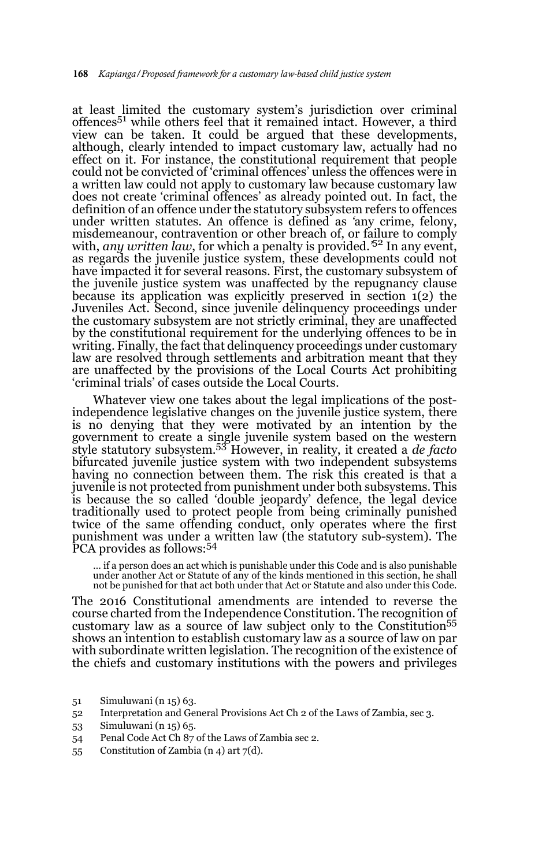at least limited the customary system's jurisdiction over criminal offences<sup>51</sup> while others feel that it remained intact. However, a third view can be taken. It could be argued that these developments, although, clearly intended to impact customary law, actually had no effect on it. For instance, the constitutional requirement that people could not be convicted of 'criminal offences' unless the offences were in a written law could not apply to customary law because customary law does not create 'criminal offences' as already pointed out. In fact, the definition of an offence under the statutory subsystem refers to offences under written statutes. An offence is defined as *'*any crime, felony, misdemeanour, contravention or other breach of, or failure to comply with, *any written law*, for which a penalty is provided*.'*<sup>52</sup> In any event, as regards the juvenile justice system, these developments could not have impacted it for several reasons. First, the customary subsystem of the juvenile justice system was unaffected by the repugnancy clause because its application was explicitly preserved in section 1(2) the Juveniles Act. Second, since juvenile delinquency proceedings under the customary subsystem are not strictly criminal, they are unaffected by the constitutional requirement for the underlying offences to be in writing. Finally, the fact that delinquency proceedings under customary law are resolved through settlements and arbitration meant that they are unaffected by the provisions of the Local Courts Act prohibiting 'criminal trials' of cases outside the Local Courts.

Whatever view one takes about the legal implications of the postindependence legislative changes on the juvenile justice system, there is no denying that they were motivated by an intention by the government to create a single juvenile system based on the western style statutory subsystem.53 However, in reality, it created a *de facto* bifurcated juvenile justice system with two independent subsystems having no connection between them. The risk this created is that a juvenile is not protected from punishment under both subsystems. This is because the so called 'double jeopardy' defence, the legal device traditionally used to protect people from being criminally punished twice of the same offending conduct, only operates where the first punishment was under a written law (the statutory sub-system). The PCA provides as follows:<sup>54</sup>

… if a person does an act which is punishable under this Code and is also punishable under another Act or Statute of any of the kinds mentioned in this section, he shall not be punished for that act both under that Act or Statute and also under this Code.

The 2016 Constitutional amendments are intended to reverse the course charted from the Independence Constitution. The recognition of customary law as a source of law subject only to the Constitution<sup>55</sup> shows an intention to establish customary law as a source of law on par with subordinate written legislation. The recognition of the existence of the chiefs and customary institutions with the powers and privileges

- 51 Simuluwani (n 15) 63.
- 52 Interpretation and General Provisions Act Ch 2 of the Laws of Zambia, sec 3.
- 53 Simuluwani (n 15) 65.
- 54 Penal Code Act Ch 87 of the Laws of Zambia sec 2.
- 55 Constitution of Zambia (n 4) art 7(d).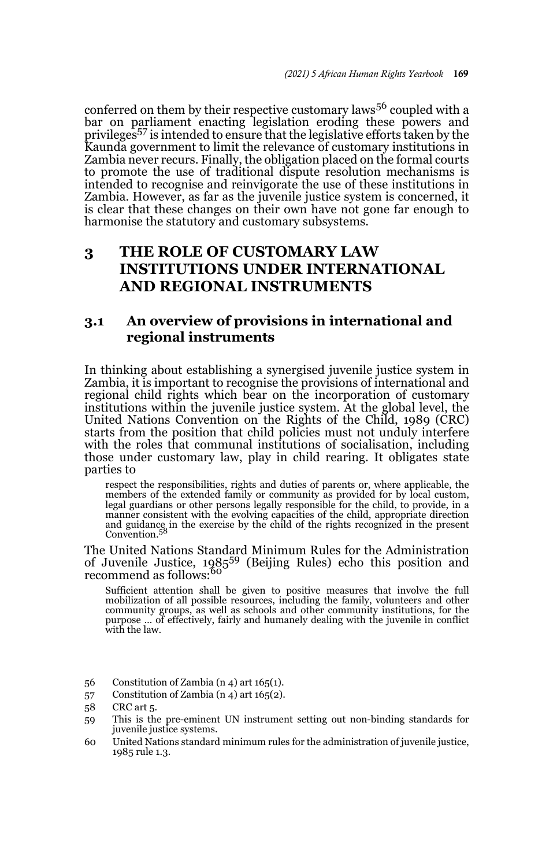conferred on them by their respective customary laws<sup>56</sup> coupled with a bar on parliament enacting legislation eroding these powers and privileges57 is intended to ensure that the legislative efforts taken by the Kaunda government to limit the relevance of customary institutions in Zambia never recurs. Finally, the obligation placed on the formal courts to promote the use of traditional dispute resolution mechanisms is intended to recognise and reinvigorate the use of these institutions in Zambia. However, as far as the juvenile justice system is concerned, it is clear that these changes on their own have not gone far enough to harmonise the statutory and customary subsystems.

# **3 THE ROLE OF CUSTOMARY LAW INSTITUTIONS UNDER INTERNATIONAL AND REGIONAL INSTRUMENTS**

### **3.1 An overview of provisions in international and regional instruments**

In thinking about establishing a synergised juvenile justice system in Zambia, it is important to recognise the provisions of international and regional child rights which bear on the incorporation of customary institutions within the juvenile justice system. At the global level, the United Nations Convention on the Rights of the Child, 1989 (CRC) starts from the position that child policies must not unduly interfere with the roles that communal institutions of socialisation, including those under customary law, play in child rearing. It obligates state parties to

respect the responsibilities, rights and duties of parents or, where applicable, the members of the extended family or community as provided for by local custom, legal guardians or other persons legally responsible for the child, to provide, in a manner consistent with the evolving capacities of the child, and guidance in the exercise by the child of the rights recognized in the present Convention*.* 58

The United Nations Standard Minimum Rules for the Administration of Juvenile Justice, 198559 (Beijing Rules) echo this position and recommend as follows:<sup>60</sup>

Sufficient attention shall be given to positive measures that involve the full mobilization of all possible resources, including the family, volunteers and other community groups, as well as schools and other community institutions, for the purpose … of effectively, fairly and humanely dealing with the juvenile in conflict with the law.

- 56 Constitution of Zambia (n 4) art 165(1).
- 57 Constitution of Zambia (n 4) art 165(2).

- 59 This is the pre-eminent UN instrument setting out non-binding standards for juvenile justice systems.
- 60 United Nations standard minimum rules for the administration of juvenile justice, 1985 rule 1.3.

<sup>58</sup> CRC art 5.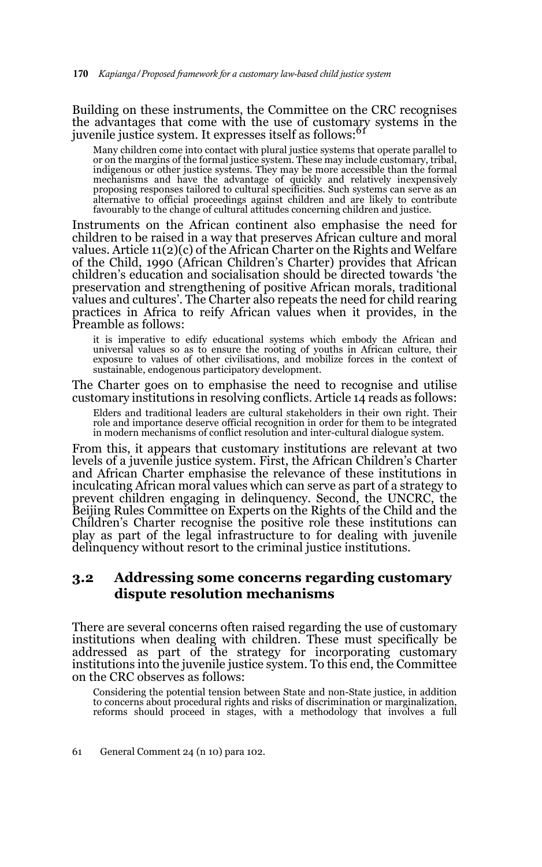Building on these instruments, the Committee on the CRC recognises the advantages that come with the use of customary systems in the juvenile justice system. It expresses itself as follows:<sup>61</sup>

Many children come into contact with plural justice systems that operate parallel to or on the margins of the formal justice system. These may include customary, tribal, indigenous or other justice systems. They may be more accessible than the formal mechanisms and have the advantage of quickly and relatively inexpensively proposing responses tailored to cultural specificities. Such systems can serve as an alternative to official proceedings against children and are likely to contribute favourably to the change of cultural attitudes concerning children and justice.

Instruments on the African continent also emphasise the need for children to be raised in a way that preserves African culture and moral values. Article 11(2)(c) of the African Charter on the Rights and Welfare of the Child, 1990 (African Children's Charter) provides that African children's education and socialisation should be directed towards 'the preservation and strengthening of positive African morals, traditional values and cultures'. The Charter also repeats the need for child rearing practices in Africa to reify African values when it provides, in the Preamble as follows:

it is imperative to edify educational systems which embody the African and universal values so as to ensure the rooting of youths in African culture, their exposure to values of other civilisations, and mobilize forces in the context of sustainable, endogenous participatory development.

The Charter goes on to emphasise the need to recognise and utilise customary institutions in resolving conflicts. Article 14 reads as follows:

Elders and traditional leaders are cultural stakeholders in their own right. Their role and importance deserve official recognition in order for them to be integrated in modern mechanisms of conflict resolution and inter-cultural dialogue system.

From this, it appears that customary institutions are relevant at two levels of a juvenile justice system. First, the African Children's Charter and African Charter emphasise the relevance of these institutions in inculcating African moral values which can serve as part of a strategy to prevent children engaging in delinquency. Second, the UNCRC, the Beijing Rules Committee on Experts on the Rights of the Child and the Children's Charter recognise the positive role these institutions can play as part of the legal infrastructure to for dealing with juvenile delinquency without resort to the criminal justice institutions.

### **3.2 Addressing some concerns regarding customary dispute resolution mechanisms**

There are several concerns often raised regarding the use of customary institutions when dealing with children. These must specifically be addressed as part of the strategy for incorporating customary institutions into the juvenile justice system. To this end, the Committee on the CRC observes as follows:

Considering the potential tension between State and non-State justice, in addition to concerns about procedural rights and risks of discrimination or marginalization, reforms should proceed in stages, with a methodology that involves a full

<sup>61</sup> General Comment 24 (n 10) para 102.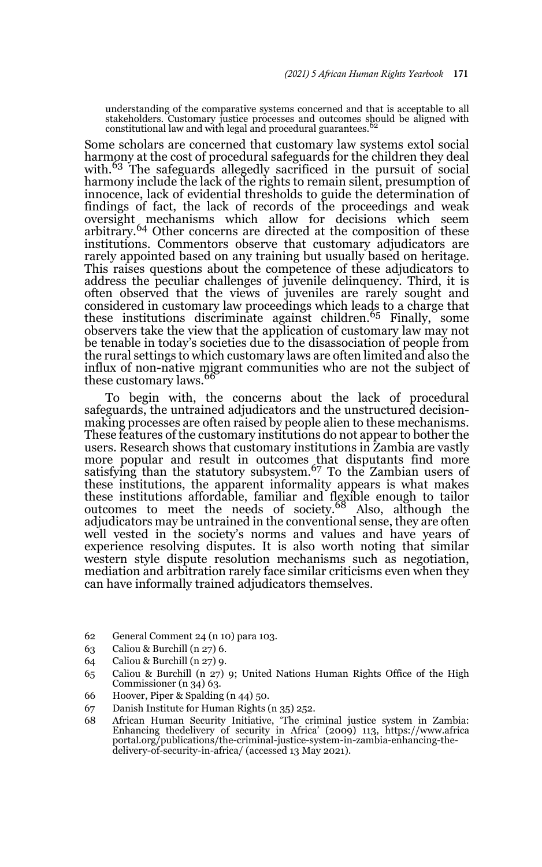understanding of the comparative systems concerned and that is acceptable to all stakeholders. Customary justice processes and outcomes should be aligned with constitutional law and with legal and procedural guarantees.<sup>62</sup>

Some scholars are concerned that customary law systems extol social harmony at the cost of procedural safeguards for the children they deal with.<sup>63</sup> The safeguards allegedly sacrificed in the pursuit of social harmony include the lack of the rights to remain silent, presumption of innocence, lack of evidential thresholds to guide the determination of findings of fact, the lack of records of the proceedings and weak oversight mechanisms which allow for decisions which seem arbitrary.<sup>64</sup> Other concerns are directed at the composition of these institutions. Commentors observe that customary adjudicators are rarely appointed based on any training but usually based on heritage. This raises questions about the competence of these adjudicators to address the peculiar challenges of juvenile delinquency. Third, it is often observed that the views of juveniles are rarely sought and considered in customary law proceedings which leads to a charge that these institutions discriminate against children.65 Finally, some observers take the view that the application of customary law may not be tenable in today's societies due to the disassociation of people from the rural settings to which customary laws are often limited and also the influx of non-native migrant communities who are not the subject of these customary laws.<sup>66</sup>

To begin with, the concerns about the lack of procedural safeguards, the untrained adjudicators and the unstructured decisionmaking processes are often raised by people alien to these mechanisms. These features of the customary institutions do not appear to bother the users. Research shows that customary institutions in Zambia are vastly more popular and result in outcomes that disputants find more satisfying than the statutory subsystem.67 To the Zambian users of these institutions, the apparent informality appears is what makes these institutions affordable, familiar and flexible enough to tailor outcomes to meet the needs of society.68 Also, although the adjudicators may be untrained in the conventional sense, they are often well vested in the society's norms and values and have years of experience resolving disputes. It is also worth noting that similar western style dispute resolution mechanisms such as negotiation, mediation and arbitration rarely face similar criticisms even when they can have informally trained adjudicators themselves.

- 62 General Comment 24 (n 10) para 103.
- 63 Caliou & Burchill (n 27) 6.
- 64 Caliou & Burchill (n 27) 9.
- 65 Caliou & Burchill (n 27) 9; United Nations Human Rights Office of the High Commissioner (n 34) 63.
- 66 Hoover, Piper & Spalding (n 44) 50.
- 67 Danish Institute for Human Rights (n 35) 252.
- 68 African Human Security Initiative, 'The criminal justice system in Zambia:<br>Enhancing the delivery of security in Africa' (2009) 113, https://www.africa<br>portal.org/publications/the-criminal-justice-system-in-zambia-enhan delivery-of-security-in-africa/ (accessed 13 May 2021).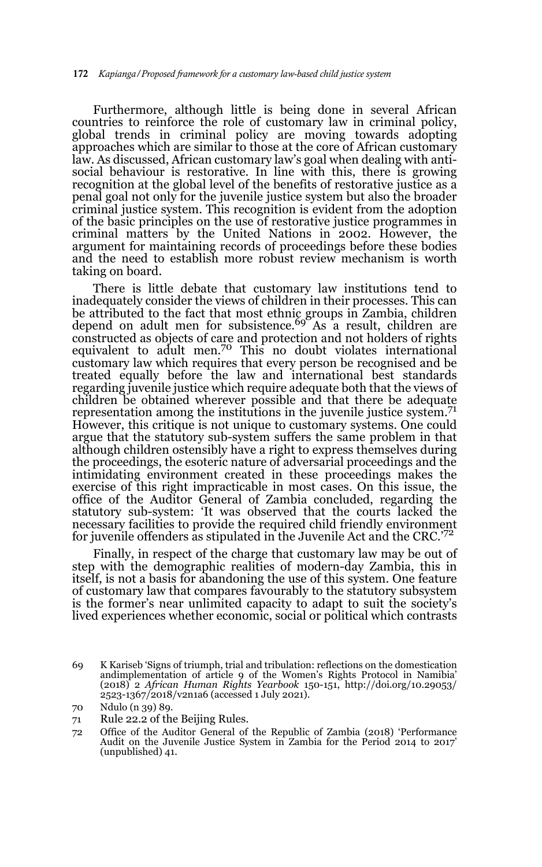Furthermore, although little is being done in several African countries to reinforce the role of customary law in criminal policy, global trends in criminal policy are moving towards adopting approaches which are similar to those at the core of African customary law. As discussed, African customary law's goal when dealing with antisocial behaviour is restorative. In line with this, there is growing recognition at the global level of the benefits of restorative justice as a penal goal not only for the juvenile justice system but also the broader criminal justice system. This recognition is evident from the adoption of the basic principles on the use of restorative justice programmes in criminal matters by the United Nations in 2002. However, the argument for maintaining records of proceedings before these bodies and the need to establish more robust review mechanism is worth taking on board.

There is little debate that customary law institutions tend to inadequately consider the views of children in their processes. This can be attributed to the fact that most ethnic groups in Zambia, children depend on adult men for subsistence.<sup>69</sup> As a result, children are constructed as objects of care and protection and not holders of rights equivalent to adult men.70 This no doubt violates international customary law which requires that every person be recognised and be treated equally before the law and international best standards regarding juvenile justice which require adequate both that the views of children be obtained wherever possible and that there be adequate representation among the institutions in the juvenile justice system. $7<sup>1</sup>$ However, this critique is not unique to customary systems. One could argue that the statutory sub-system suffers the same problem in that although children ostensibly have a right to express themselves during the proceedings, the esoteric nature of adversarial proceedings and the intimidating environment created in these proceedings makes the exercise of this right impracticable in most cases. On this issue, the office of the Auditor General of Zambia concluded, regarding the statutory sub-system: 'It was observed that the courts lacked the necessary facilities to provide the required child friendly environment for juvenile offenders as stipulated in the Juvenile Act and the CRC.<sup>'72</sup>

Finally, in respect of the charge that customary law may be out of step with the demographic realities of modern-day Zambia, this in itself, is not a basis for abandoning the use of this system. One feature of customary law that compares favourably to the statutory subsystem is the former's near unlimited capacity to adapt to suit the society's lived experiences whether economic, social or political which contrasts

<sup>69</sup> K Kariseb 'Signs of triumph, trial and tribulation: reflections on the domestication andimplementation of article 9 of the Women's Rights Protocol in Namibia' (2018) 2 *African Human Rights Yearbook* 150-151, http://doi.org/10.29053/ 2523-1367/2018/v2n1a6 (accessed 1 July 2021).

<sup>70</sup> Ndulo (n 39) 89.

<sup>71</sup> Rule 22.2 of the Beijing Rules.

<sup>72</sup> Office of the Auditor General of the Republic of Zambia (2018) 'Performance Audit on the Juvenile Justice System in Zambia for the Period 2014 to 2017' (unpublished) 41.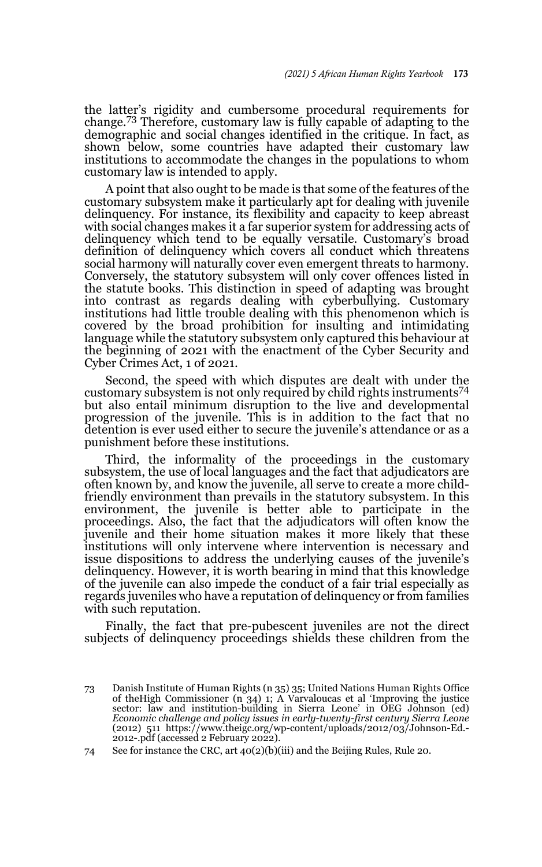the latter's rigidity and cumbersome procedural requirements for change.73 Therefore, customary law is fully capable of adapting to the demographic and social changes identified in the critique. In fact, as shown below, some countries have adapted their customary law institutions to accommodate the changes in the populations to whom customary law is intended to apply.

A point that also ought to be made is that some of the features of the customary subsystem make it particularly apt for dealing with juvenile delinquency. For instance, its flexibility and capacity to keep abreast with social changes makes it a far superior system for addressing acts of delinquency which tend to be equally versatile. Customary's broad definition of delinquency which covers all conduct which threatens social harmony will naturally cover even emergent threats to harmony. Conversely, the statutory subsystem will only cover offences listed in the statute books. This distinction in speed of adapting was brought into contrast as regards dealing with cyberbullying. Customary institutions had little trouble dealing with this phenomenon which is covered by the broad prohibition for insulting and intimidating language while the statutory subsystem only captured this behaviour at the beginning of 2021 with the enactment of the Cyber Security and Cyber Crimes Act, 1 of 2021.

Second, the speed with which disputes are dealt with under the customary subsystem is not only required by child rights instruments<sup>74</sup> but also entail minimum disruption to the live and developmental progression of the juvenile. This is in addition to the fact that no detention is ever used either to secure the juvenile's attendance or as a punishment before these institutions.

Third, the informality of the proceedings in the customary subsystem, the use of local languages and the fact that adjudicators are often known by, and know the juvenile, all serve to create a more childfriendly environment than prevails in the statutory subsystem. In this environment, the juvenile is better able to participate in the proceedings. Also, the fact that the adjudicators will often know the juvenile and their home situation makes it more likely that these institutions will only intervene where intervention is necessary and issue dispositions to address the underlying causes of the juvenile's delinquency. However, it is worth bearing in mind that this knowledge of the juvenile can also impede the conduct of a fair trial especially as regards juveniles who have a reputation of delinquency or from families with such reputation.

Finally, the fact that pre-pubescent juveniles are not the direct subjects of delinquency proceedings shields these children from the

<sup>73</sup> Danish Institute of Human Rights (n 35) 35; United Nations Human Rights Office of theHigh Commissioner (n 34) 1; A Varvaloucas et al 'Improving the justice sector: law and institution-building in Sierra Leone' in OEG Johnson (ed) *Economic challenge and policy issues in early-twenty-first century Sierra Leone* (2012) 511 https://www.theigc.org/wp-content/uploads/2012/03/Johnson-Ed.- 2012-.pdf (accessed 2 February 2022).

<sup>74</sup> See for instance the CRC, art 40(2)(b)(iii) and the Beijing Rules, Rule 20.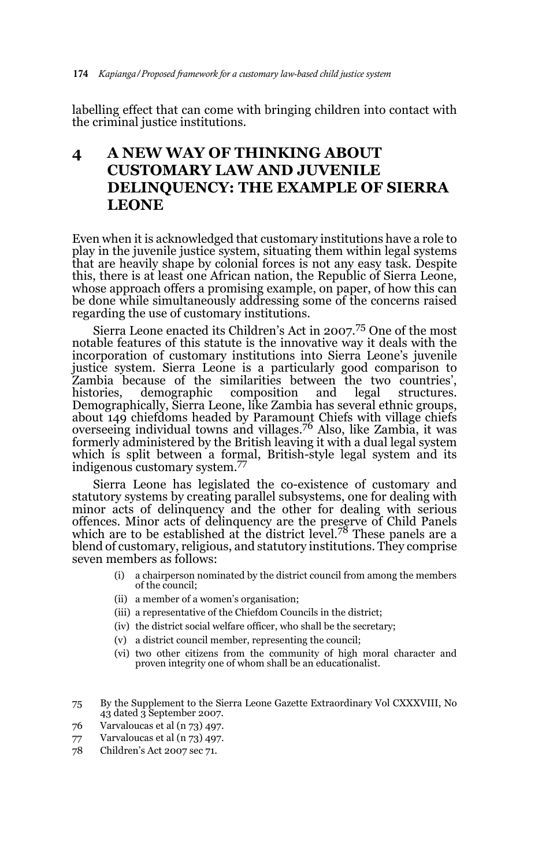labelling effect that can come with bringing children into contact with the criminal justice institutions.

# **4 A NEW WAY OF THINKING ABOUT CUSTOMARY LAW AND JUVENILE DELINQUENCY: THE EXAMPLE OF SIERRA LEONE**

Even when it is acknowledged that customary institutions have a role to play in the juvenile justice system, situating them within legal systems that are heavily shape by colonial forces is not any easy task. Despite this, there is at least one African nation, the Republic of Sierra Leone, whose approach offers a promising example, on paper, of how this can be done while simultaneously addressing some of the concerns raised regarding the use of customary institutions.

Sierra Leone enacted its Children's Act in 2007.75 One of the most notable features of this statute is the innovative way it deals with the incorporation of customary institutions into Sierra Leone's juvenile justice system. Sierra Leone is a particularly good comparison to Zambia because of the similarities between the two countries', histories, demographic composition and legal structures. Demographically, Sierra Leone, like Zambia has several ethnic groups, about 149 chiefdoms headed by Paramount Chiefs with village chiefs<br>overseeing individual towns and villages.<sup>76</sup> Also, like Zambia, it was formerly administered by the British leaving it with a dual legal system which is split between a formal, British-style legal system and its indigenous customary system.77

Sierra Leone has legislated the co-existence of customary and statutory systems by creating parallel subsystems, one for dealing with minor acts of delinquency and the other for dealing with serious offences. Minor acts of delinquency are the preserve of Child Panels which are to be established at the district level.<sup>78</sup> These panels are a blend of customary, religious, and statutory institutions. They comprise seven members as follows:

- (i) a chairperson nominated by the district council from among the members of the council;
- (ii) a member of a women's organisation;
- (iii) a representative of the Chiefdom Councils in the district;
- (iv) the district social welfare officer, who shall be the secretary;
- (v) a district council member, representing the council;
- (vi) two other citizens from the community of high moral character and proven integrity one of whom shall be an educationalist.

<sup>75</sup> By the Supplement to the Sierra Leone Gazette Extraordinary Vol CXXXVIII, No 43 dated 3 September 2007.

<sup>76</sup> Varvaloucas et al (n 73) 497.

<sup>77</sup> Varvaloucas et al (n 73) 497.

<sup>78</sup> Children's Act 2007 sec 71.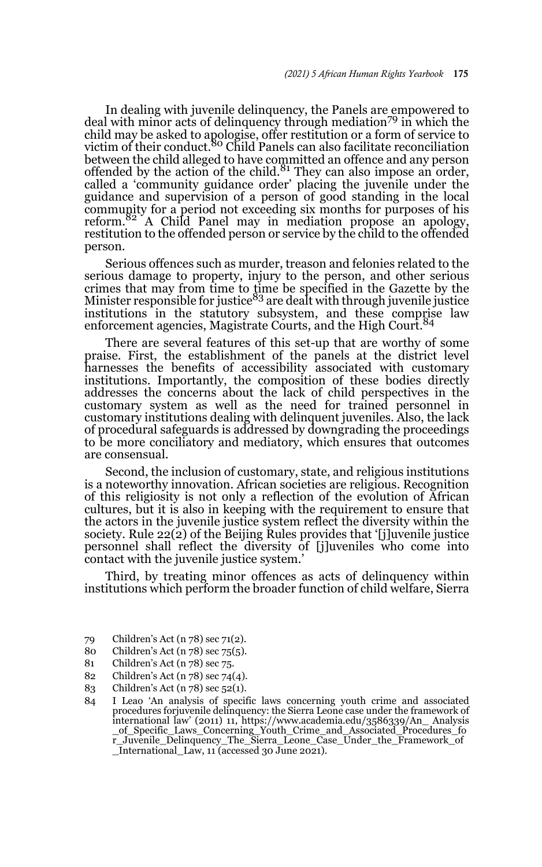In dealing with juvenile delinquency, the Panels are empowered to deal with minor acts of delinquency through mediation<sup>79</sup> in which the child may be asked to apologise, offer restitution or a form of service to<br>victim of their conduct.<sup>80</sup> Child Panels can also facilitate reconciliation between the child alleged to have committed an offence and any person<br>offended by the action of the child.<sup>81</sup> They can also impose an order, called a 'community guidance order' placing the juvenile under the guidance and supervision of a person of good standing in the local community for a period not exceeding six months for purposes of his reform.<sup>82</sup> A Child Panel may in mediation propose an apology, restitution to the offended person or service by the child to the offended person.

Serious offences such as murder, treason and felonies related to the serious damage to property, injury to the person, and other serious crimes that may from time to time be specified in the Gazette by the<br>Minister responsible for justice<sup>83</sup> are dealt with through juvenile justice institutions in the statutory subsystem, and these comprise law enforcement agencies, Magistrate Courts, and the High Court.<sup>84</sup>

There are several features of this set-up that are worthy of some praise. First, the establishment of the panels at the district level harnesses the benefits of accessibility associated with customary institutions. Importantly, the composition of these bodies directly addresses the concerns about the lack of child perspectives in the customary system as well as the need for trained personnel in customary institutions dealing with delinquent juveniles. Also, the lack of procedural safeguards is addressed by downgrading the proceedings to be more conciliatory and mediatory, which ensures that outcomes are consensual.

Second, the inclusion of customary, state, and religious institutions is a noteworthy innovation. African societies are religious. Recognition of this religiosity is not only a reflection of the evolution of African cultures, but it is also in keeping with the requirement to ensure that the actors in the juvenile justice system reflect the diversity within the society. Rule 22(2) of the Beijing Rules provides that '[j]uvenile justice personnel shall reflect the diversity of [j]uveniles who come into contact with the juvenile justice system.'

Third, by treating minor offences as acts of delinquency within institutions which perform the broader function of child welfare, Sierra

- 80 Children's Act (n 78) sec 75(5).
- 81 Children's Act (n 78) sec 75.
- 82 Children's Act (n 78) sec 74(4).
- 83 Children's Act (n 78) sec 52(1).

<sup>79</sup> Children's Act (n 78) sec 71(2).

<sup>84</sup> I Leao 'An analysis of specific laws concerning youth crime and associated procedures forjuvenile delinquency: the Sierra Leone case under the framework of international law' (2011) 11, https://www.academia.edu/3586339/An\_ Analysis \_of\_Specific\_Laws\_Concerning\_Youth\_Crime\_and\_Associated\_Procedures\_fo r\_Juvenile\_Delinquency\_The\_Sierra\_Leone\_Case\_Under\_the\_Framework\_of \_International\_Law, 11 (accessed 30 June 2021).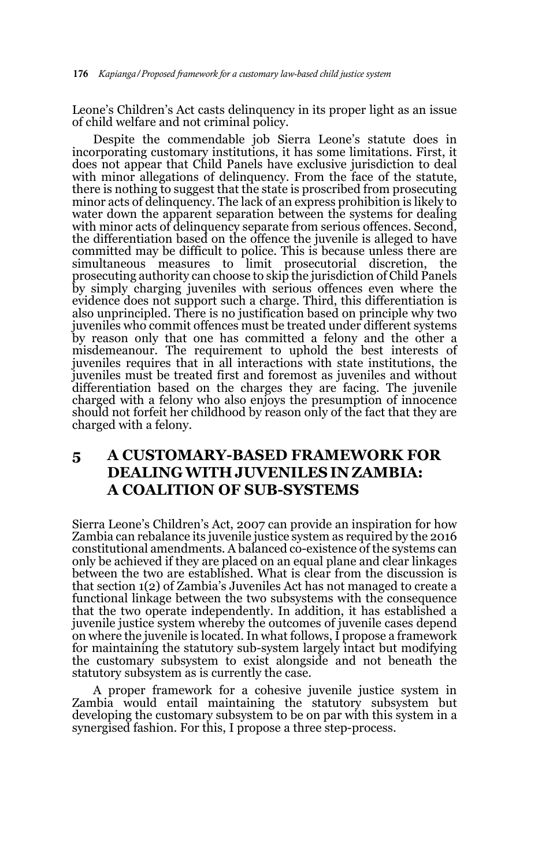Leone's Children's Act casts delinquency in its proper light as an issue of child welfare and not criminal policy.

Despite the commendable job Sierra Leone's statute does in incorporating customary institutions, it has some limitations. First, it does not appear that Child Panels have exclusive jurisdiction to deal with minor allegations of delinquency. From the face of the statute, there is nothing to suggest that the state is proscribed from prosecuting minor acts of delinquency. The lack of an express prohibition is likely to water down the apparent separation between the systems for dealing with minor acts of delinquency separate from serious offences. Second, the differentiation based on the offence the juvenile is alleged to have committed may be difficult to police. This is because unless there are simultaneous measures to limit prosecutorial discretion, the prosecuting authority can choose to skip the jurisdiction of Child Panels by simply charging juveniles with serious offences even where the evidence does not support such a charge. Third, this differentiation is also unprincipled. There is no justification based on principle why two juveniles who commit offences must be treated under different systems by reason only that one has committed a felony and the other a misdemeanour. The requirement to uphold the best interests of juveniles requires that in all interactions with state institutions, the juveniles must be treated first and foremost as juveniles and without differentiation based on the charges they are facing. The juvenile charged with a felony who also enjoys the presumption of innocence should not forfeit her childhood by reason only of the fact that they are charged with a felony.

## **5 A CUSTOMARY-BASED FRAMEWORK FOR DEALING WITH JUVENILES IN ZAMBIA: A COALITION OF SUB-SYSTEMS**

Sierra Leone's Children's Act, 2007 can provide an inspiration for how Zambia can rebalance its juvenile justice system as required by the 2016 constitutional amendments. A balanced co-existence of the systems can only be achieved if they are placed on an equal plane and clear linkages between the two are established. What is clear from the discussion is that section 1(2) of Zambia's Juveniles Act has not managed to create a functional linkage between the two subsystems with the consequence that the two operate independently. In addition, it has established a juvenile justice system whereby the outcomes of juvenile cases depend on where the juvenile is located. In what follows, I propose a framework for maintaining the statutory sub-system largely intact but modifying the customary subsystem to exist alongside and not beneath the statutory subsystem as is currently the case.

A proper framework for a cohesive juvenile justice system in Zambia would entail maintaining the statutory subsystem but developing the customary subsystem to be on par with this system in a synergised fashion. For this, I propose a three step-process.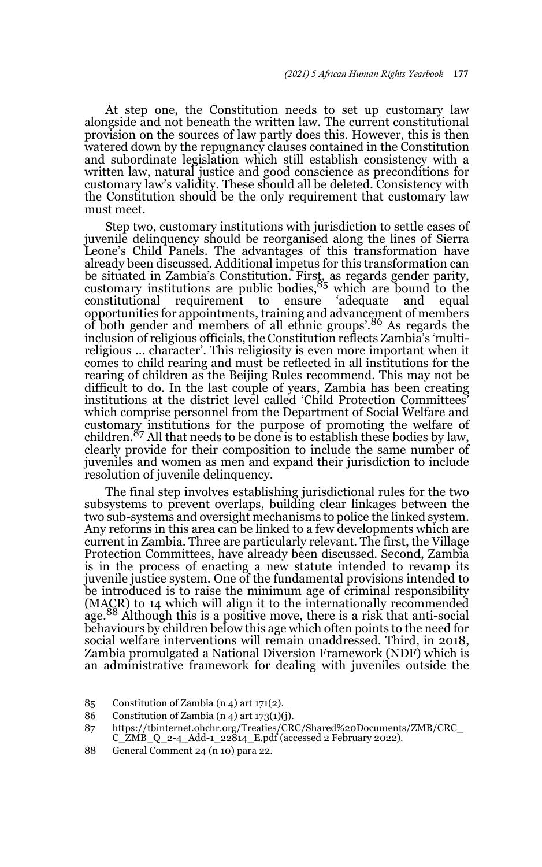At step one, the Constitution needs to set up customary law alongside and not beneath the written law. The current constitutional provision on the sources of law partly does this. However, this is then watered down by the repugnancy clauses contained in the Constitution and subordinate legislation which still establish consistency with a written law, natural justice and good conscience as preconditions for customary law's validity. These should all be deleted. Consistency with the Constitution should be the only requirement that customary law must meet.

Step two, customary institutions with jurisdiction to settle cases of juvenile delinquency should be reorganised along the lines of Sierra Leone's Child Panels. The advantages of this transformation have already been discussed. Additional impetus for this transformation can be situated in Zambia's Constitution. First, as regards gender parity,<br>customary institutions are public bodies,<sup>85</sup> which are bound to the constitutional requirement to ensure 'adequate and equal opportunities for appointments, training and advancement of members of both gender and members of all ethnic groups'.86 As regards the inclusion of religious officials, the Constitution reflects Zambia's 'multireligious … character'. This religiosity is even more important when it comes to child rearing and must be reflected in all institutions for the rearing of children as the Beijing Rules recommend. This may not be difficult to do. In the last couple of years, Zambia has been creating institutions at the district level called 'Child Protection Committees' which comprise personnel from the Department of Social Welfare and customary institutions for the purpose of promoting the welfare of children.87 All that needs to be done is to establish these bodies by law, clearly provide for their composition to include the same number of juveniles and women as men and expand their jurisdiction to include resolution of juvenile delinquency.

The final step involves establishing jurisdictional rules for the two subsystems to prevent overlaps, building clear linkages between the two sub-systems and oversight mechanisms to police the linked system. Any reforms in this area can be linked to a few developments which are current in Zambia. Three are particularly relevant. The first, the Village Protection Committees, have already been discussed. Second, Zambia is in the process of enacting a new statute intended to revamp its juvenile justice system. One of the fundamental provisions intended to be introduced is to raise the minimum age of criminal responsibility (MACR) to 14 which will align it to the internationally recommended age.<sup>88</sup> Although this is a positive move, there is a risk that anti-social behaviours by children below this age which often points to the need for social welfare interventions will remain unaddressed. Third, in 2018, Zambia promulgated a National Diversion Framework (NDF) which is an administrative framework for dealing with juveniles outside the

88 General Comment 24 (n 10) para 22.

<sup>85</sup> Constitution of Zambia (n 4) art 171(2).

<sup>86</sup> Constitution of Zambia (n 4) art 173(1)(j).

<sup>87</sup> https://tbinternet.ohchr.org/Treaties/CRC/Shared%20Documents/ZMB/CRC\_  $C_2MB_2-2-4\_Add-1\_22814\_E.pdf$  (accessed 2 February 2022).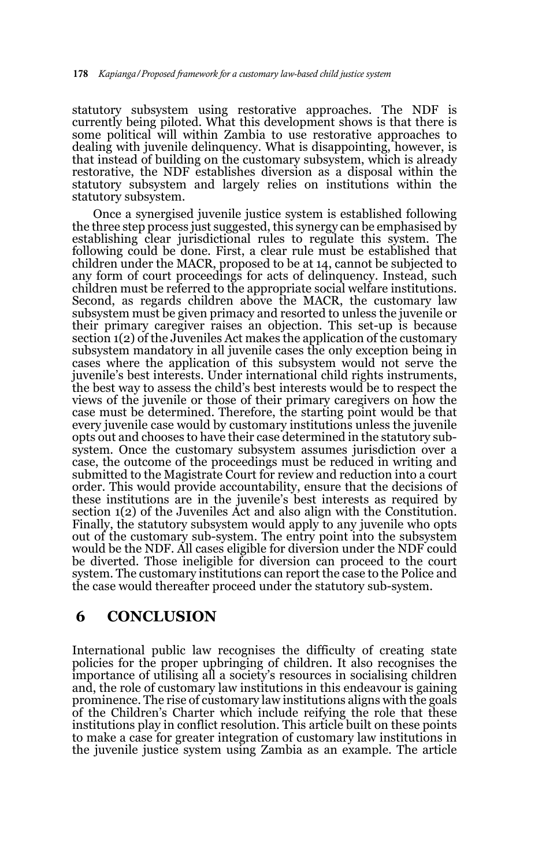statutory subsystem using restorative approaches. The NDF is currently being piloted. What this development shows is that there is some political will within Zambia to use restorative approaches to dealing with juvenile delinquency. What is disappointing, however, is that instead of building on the customary subsystem, which is already restorative, the NDF establishes diversion as a disposal within the statutory subsystem and largely relies on institutions within the statutory subsystem.

Once a synergised juvenile justice system is established following the three step process just suggested, this synergy can be emphasised by establishing clear jurisdictional rules to regulate this system. The following could be done. First, a clear rule must be established that children under the MACR, proposed to be at 14, cannot be subjected to any form of court proceedings for acts of delinquency. Instead, such children must be referred to the appropriate social welfare institutions. Second, as regards children above the MACR, the customary law subsystem must be given primacy and resorted to unless the juvenile or their primary caregiver raises an objection. This set-up is because section  $1(2)$  of the Juveniles Act makes the application of the customary subsystem mandatory in all juvenile cases the only exception being in cases where the application of this subsystem would not serve the juvenile's best interests. Under international child rights instruments, the best way to assess the child's best interests would be to respect the views of the juvenile or those of their primary caregivers on how the case must be determined. Therefore, the starting point would be that every juvenile case would by customary institutions unless the juvenile opts out and chooses to have their case determined in the statutory subsystem. Once the customary subsystem assumes jurisdiction over a case, the outcome of the proceedings must be reduced in writing and submitted to the Magistrate Court for review and reduction into a court order. This would provide accountability, ensure that the decisions of these institutions are in the juvenile's best interests as required by section 1(2) of the Juveniles Act and also align with the Constitution. Finally, the statutory subsystem would apply to any juvenile who opts out of the customary sub-system. The entry point into the subsystem would be the NDF. All cases eligible for diversion under the NDF could be diverted. Those ineligible for diversion can proceed to the court system. The customary institutions can report the case to the Police and the case would thereafter proceed under the statutory sub-system.

### **6 CONCLUSION**

International public law recognises the difficulty of creating state policies for the proper upbringing of children. It also recognises the importance of utilising all a society's resources in socialising children and, the role of customary law institutions in this endeavour is gaining prominence. The rise of customary law institutions aligns with the goals of the Children's Charter which include reifying the role that these institutions play in conflict resolution. This article built on these points to make a case for greater integration of customary law institutions in the juvenile justice system using Zambia as an example. The article